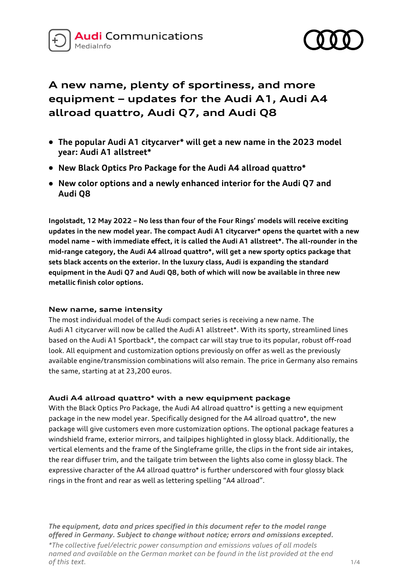



# **A new name, plenty of sportiness, and more equipment – updates for the Audi A1, Audi A4 allroad quattro, Audi Q7, and Audi Q8**

- **The popular Audi A1 citycarver\* will get a new name in the 2023 model year: Audi A1 allstreet\***
- **New Black Optics Pro Package for the Audi A4 allroad quattro\***
- **New color options and a newly enhanced interior for the Audi Q7 and Audi Q8**

**Ingolstadt, 12 May 2022 – No less than four of the Four Rings' models will receive exciting updates in the new model year. The compact Audi A1 citycarver\* opens the quartet with a new model name – with immediate effect, it is called the Audi A1 allstreet\*. The all-rounder in the mid-range category, the Audi A4 allroad quattro\*, will get a new sporty optics package that sets black accents on the exterior. In the luxury class, Audi is expanding the standard equipment in the Audi Q7 and Audi Q8, both of which will now be available in three new metallic finish color options.** 

## **New name, same intensity**

The most individual model of the Audi compact series is receiving a new name. The Audi A1 citycarver will now be called the Audi A1 allstreet\*. With its sporty, streamlined lines based on the Audi A1 Sportback\*, the compact car will stay true to its popular, robust off-road look. All equipment and customization options previously on offer as well as the previously available engine/transmission combinations will also remain. The price in Germany also remains the same, starting at at 23,200 euros.

## **Audi A4 allroad quattro\* with a new equipment package**

With the Black Optics Pro Package, the Audi A4 allroad quattro\* is getting a new equipment package in the new model year. Specifically designed for the A4 allroad quattro\*, the new package will give customers even more customization options. The optional package features a windshield frame, exterior mirrors, and tailpipes highlighted in glossy black. Additionally, the vertical elements and the frame of the Singleframe grille, the clips in the front side air intakes, the rear diffuser trim, and the tailgate trim between the lights also come in glossy black. The expressive character of the A4 allroad quattro\* is further underscored with four glossy black rings in the front and rear as well as lettering spelling "A4 allroad".

*The equipment, data and prices specified in this document refer to the model range offered in Germany. Subject to change without notice; errors and omissions excepted.*

*\*The collective fuel/electric power consumption and emissions values of all models named and available on the German market can be found in the list provided at the end of this text.* 1/4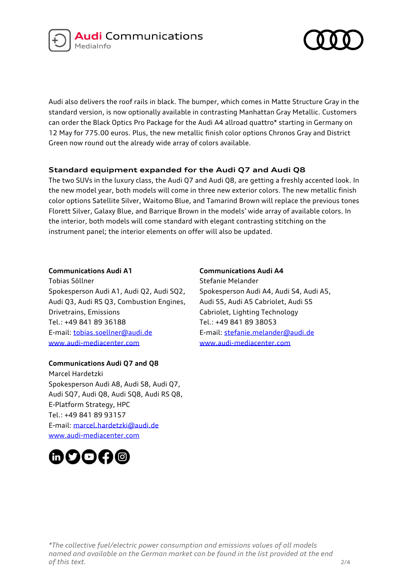



Audi also delivers the roof rails in black. The bumper, which comes in Matte Structure Gray in the standard version, is now optionally available in contrasting Manhattan Gray Metallic. Customers can order the Black Optics Pro Package for the Audi A4 allroad quattro\* starting in Germany on 12 May for 775.00 euros. Plus, the new metallic finish color options Chronos Gray and District Green now round out the already wide array of colors available.

## **Standard equipment expanded for the Audi Q7 and Audi Q8**

The two SUVs in the luxury class, the Audi Q7 and Audi Q8, are getting a freshly accented look. In the new model year, both models will come in three new exterior colors. The new metallic finish color options Satellite Silver, Waitomo Blue, and Tamarind Brown will replace the previous tones Florett Silver, Galaxy Blue, and Barrique Brown in the models' wide array of available colors. In the interior, both models will come standard with elegant contrasting stitching on the instrument panel; the interior elements on offer will also be updated.

#### **Communications Audi A1**

Tobias Söllner Spokesperson Audi A1, Audi Q2, Audi SQ2, Audi Q3, Audi RS Q3, Combustion Engines, Drivetrains, Emissions Tel.: +49 841 89 36188 E-mail[: tobias.soellner@audi.de](mailto:tobias.soellner@audi.de) www.audi-mediacenter.com

## **Communications Audi Q7 and Q8**

Marcel Hardetzki Spokesperson Audi A8, Audi S8, Audi Q7, Audi SQ7, Audi Q8, Audi SQ8, Audi RS Q8, E-Platform Strategy, HPC Tel.: +49 841 89 93157 E-mail[: marcel.hardetzki@audi.de](mailto:marcel.hardetzki@audi.de) www.audi-mediacenter.com



**Communications Audi A4** Stefanie Melander Spokesperson Audi A4, Audi S4, Audi A5, Audi S5, Audi A5 Cabriolet, Audi S5 Cabriolet, Lighting Technology Tel.: +49 841 89 38053 E-mail: [stefanie.melander@audi.de](mailto:stefanie.melander@audi.de) www.audi-mediacenter.com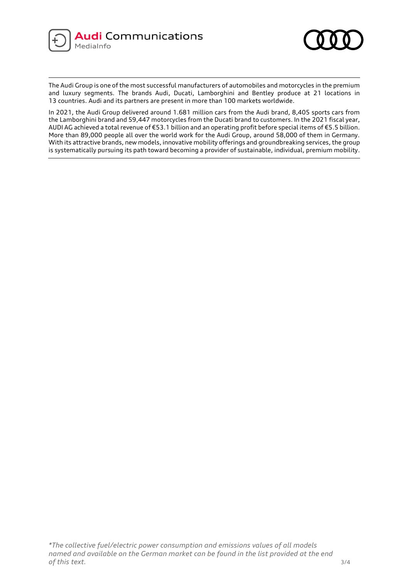



The Audi Group is one of the most successful manufacturers of automobiles and motorcycles in the premium and luxury segments. The brands Audi, Ducati, Lamborghini and Bentley produce at 21 locations in 13 countries. Audi and its partners are present in more than 100 markets worldwide.

In 2021, the Audi Group delivered around 1.681 million cars from the Audi brand, 8,405 sports cars from the Lamborghini brand and 59,447 motorcycles from the Ducati brand to customers. In the 2021 fiscal year, AUDI AG achieved a total revenue of €53.1 billion and an operating profit before special items of €5.5 billion. More than 89,000 people all over the world work for the Audi Group, around 58,000 of them in Germany. With its attractive brands, new models, innovative mobility offerings and groundbreaking services, the group is systematically pursuing its path toward becoming a provider of sustainable, individual, premium mobility.